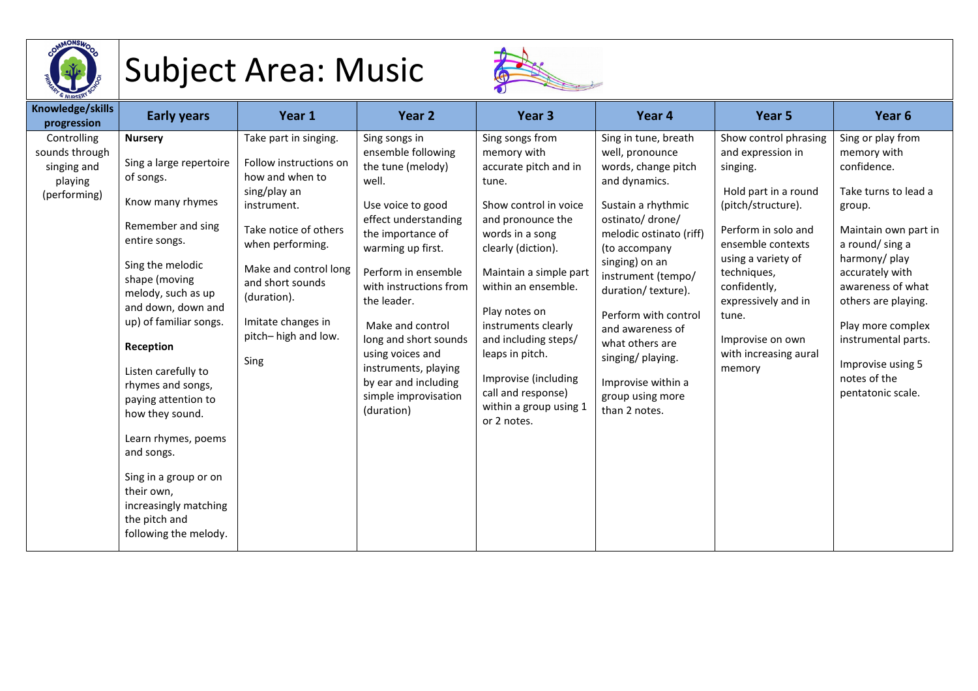

## Subject Area: Music



| Knowledge/skills<br>progression                                         | <b>Early years</b>                                                                                                                                                                                                                                                                                                                                                                                                                                                            | Year 1                                                                                                                                                                                                                                                          | Year 2                                                                                                                                                                                                                                                                                                                                                                          | Year <sub>3</sub>                                                                                                                                                                                                                                                                                                                                                                  | Year 4                                                                                                                                                                                                                                                                                                                                                                              | Year <sub>5</sub>                                                                                                                                                                                                                                                                            | Year <sub>6</sub>                                                                                                                                                                                                                                                                                                |
|-------------------------------------------------------------------------|-------------------------------------------------------------------------------------------------------------------------------------------------------------------------------------------------------------------------------------------------------------------------------------------------------------------------------------------------------------------------------------------------------------------------------------------------------------------------------|-----------------------------------------------------------------------------------------------------------------------------------------------------------------------------------------------------------------------------------------------------------------|---------------------------------------------------------------------------------------------------------------------------------------------------------------------------------------------------------------------------------------------------------------------------------------------------------------------------------------------------------------------------------|------------------------------------------------------------------------------------------------------------------------------------------------------------------------------------------------------------------------------------------------------------------------------------------------------------------------------------------------------------------------------------|-------------------------------------------------------------------------------------------------------------------------------------------------------------------------------------------------------------------------------------------------------------------------------------------------------------------------------------------------------------------------------------|----------------------------------------------------------------------------------------------------------------------------------------------------------------------------------------------------------------------------------------------------------------------------------------------|------------------------------------------------------------------------------------------------------------------------------------------------------------------------------------------------------------------------------------------------------------------------------------------------------------------|
| Controlling<br>sounds through<br>singing and<br>playing<br>(performing) | <b>Nursery</b><br>Sing a large repertoire<br>of songs.<br>Know many rhymes<br>Remember and sing<br>entire songs.<br>Sing the melodic<br>shape (moving<br>melody, such as up<br>and down, down and<br>up) of familiar songs.<br>Reception<br>Listen carefully to<br>rhymes and songs,<br>paying attention to<br>how they sound.<br>Learn rhymes, poems<br>and songs.<br>Sing in a group or on<br>their own,<br>increasingly matching<br>the pitch and<br>following the melody. | Take part in singing.<br>Follow instructions on<br>how and when to<br>sing/play an<br>instrument.<br>Take notice of others<br>when performing.<br>Make and control long<br>and short sounds<br>(duration).<br>Imitate changes in<br>pitch-high and low.<br>Sing | Sing songs in<br>ensemble following<br>the tune (melody)<br>well.<br>Use voice to good<br>effect understanding<br>the importance of<br>warming up first.<br>Perform in ensemble<br>with instructions from<br>the leader.<br>Make and control<br>long and short sounds<br>using voices and<br>instruments, playing<br>by ear and including<br>simple improvisation<br>(duration) | Sing songs from<br>memory with<br>accurate pitch and in<br>tune.<br>Show control in voice<br>and pronounce the<br>words in a song<br>clearly (diction).<br>Maintain a simple part<br>within an ensemble.<br>Play notes on<br>instruments clearly<br>and including steps/<br>leaps in pitch.<br>Improvise (including<br>call and response)<br>within a group using 1<br>or 2 notes. | Sing in tune, breath<br>well, pronounce<br>words, change pitch<br>and dynamics.<br>Sustain a rhythmic<br>ostinato/ drone/<br>melodic ostinato (riff)<br>(to accompany<br>singing) on an<br>instrument (tempo/<br>duration/ texture).<br>Perform with control<br>and awareness of<br>what others are<br>singing/ playing.<br>Improvise within a<br>group using more<br>than 2 notes. | Show control phrasing<br>and expression in<br>singing.<br>Hold part in a round<br>(pitch/structure).<br>Perform in solo and<br>ensemble contexts<br>using a variety of<br>techniques,<br>confidently,<br>expressively and in<br>tune.<br>Improvise on own<br>with increasing aural<br>memory | Sing or play from<br>memory with<br>confidence.<br>Take turns to lead a<br>group.<br>Maintain own part in<br>a round/sing a<br>harmony/play<br>accurately with<br>awareness of what<br>others are playing.<br>Play more complex<br>instrumental parts.<br>Improvise using 5<br>notes of the<br>pentatonic scale. |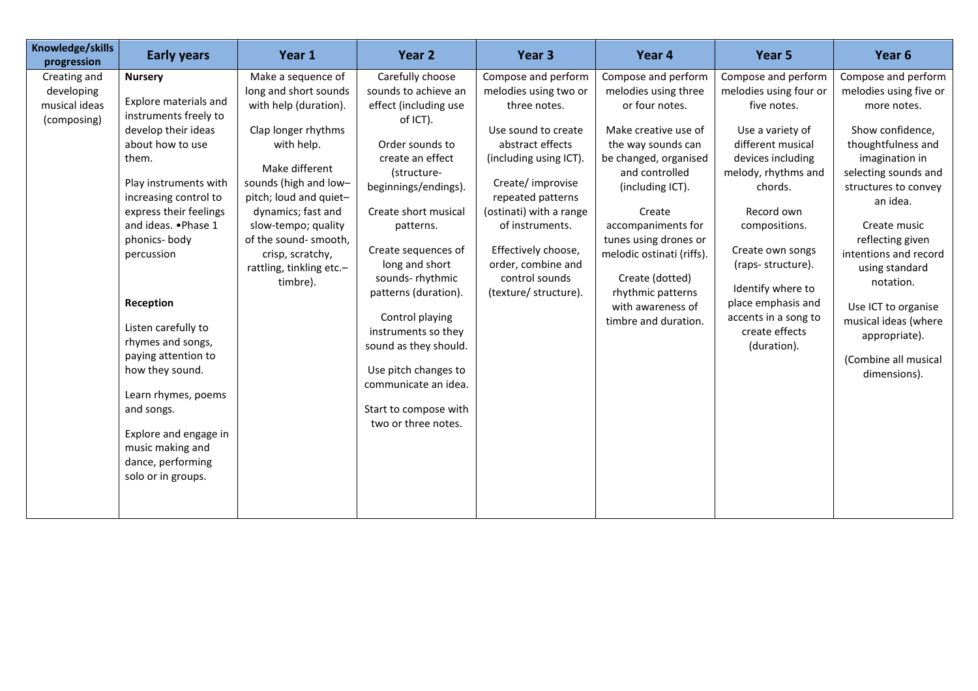| Knowledge/skills<br>progression                                     | <b>Early years</b>                                                                                                                                                                                                                                                                                                                                                                                                                                                            | Year 1                                                                                                                                                                                                                                                                                                           | Year 2                                                                                                                                                                                                                                                                                                                                                                                                                                                  | Year <sub>3</sub>                                                                                                                                                                                                                                                                                                 | Year 4                                                                                                                                                                                                                                                                                                                                                | Year 5                                                                                                                                                                                                                                                                                                                                   | Year <sub>6</sub>                                                                                                                                                                                                                                                                                                                                                                        |
|---------------------------------------------------------------------|-------------------------------------------------------------------------------------------------------------------------------------------------------------------------------------------------------------------------------------------------------------------------------------------------------------------------------------------------------------------------------------------------------------------------------------------------------------------------------|------------------------------------------------------------------------------------------------------------------------------------------------------------------------------------------------------------------------------------------------------------------------------------------------------------------|---------------------------------------------------------------------------------------------------------------------------------------------------------------------------------------------------------------------------------------------------------------------------------------------------------------------------------------------------------------------------------------------------------------------------------------------------------|-------------------------------------------------------------------------------------------------------------------------------------------------------------------------------------------------------------------------------------------------------------------------------------------------------------------|-------------------------------------------------------------------------------------------------------------------------------------------------------------------------------------------------------------------------------------------------------------------------------------------------------------------------------------------------------|------------------------------------------------------------------------------------------------------------------------------------------------------------------------------------------------------------------------------------------------------------------------------------------------------------------------------------------|------------------------------------------------------------------------------------------------------------------------------------------------------------------------------------------------------------------------------------------------------------------------------------------------------------------------------------------------------------------------------------------|
| Creating and<br>developing<br>musical ideas<br>(composing)<br>them. | <b>Nursery</b><br>Explore materials and<br>instruments freely to<br>develop their ideas<br>about how to use<br>Play instruments with<br>increasing control to<br>express their feelings<br>and ideas. . Phase 1<br>phonics-body<br>percussion<br>Reception<br>Listen carefully to<br>rhymes and songs,<br>paying attention to<br>how they sound.<br>Learn rhymes, poems<br>and songs.<br>Explore and engage in<br>music making and<br>dance, performing<br>solo or in groups. | Make a sequence of<br>long and short sounds<br>with help (duration).<br>Clap longer rhythms<br>with help.<br>Make different<br>sounds (high and low-<br>pitch; loud and quiet-<br>dynamics; fast and<br>slow-tempo; quality<br>of the sound- smooth,<br>crisp, scratchy,<br>rattling, tinkling etc.-<br>timbre). | Carefully choose<br>sounds to achieve an<br>effect (including use<br>of ICT).<br>Order sounds to<br>create an effect<br>(structure-<br>beginnings/endings).<br>Create short musical<br>patterns.<br>Create sequences of<br>long and short<br>sounds-rhythmic<br>patterns (duration).<br>Control playing<br>instruments so they<br>sound as they should.<br>Use pitch changes to<br>communicate an idea.<br>Start to compose with<br>two or three notes. | Compose and perform<br>melodies using two or<br>three notes.<br>Use sound to create<br>abstract effects<br>(including using ICT).<br>Create/ improvise<br>repeated patterns<br>(ostinati) with a range<br>of instruments.<br>Effectively choose,<br>order, combine and<br>control sounds<br>(texture/ structure). | Compose and perform<br>melodies using three<br>or four notes.<br>Make creative use of<br>the way sounds can<br>be changed, organised<br>and controlled<br>(including ICT).<br>Create<br>accompaniments for<br>tunes using drones or<br>melodic ostinati (riffs).<br>Create (dotted)<br>rhythmic patterns<br>with awareness of<br>timbre and duration. | Compose and perform<br>melodies using four or<br>five notes.<br>Use a variety of<br>different musical<br>devices including<br>melody, rhythms and<br>chords.<br>Record own<br>compositions.<br>Create own songs<br>(raps-structure).<br>Identify where to<br>place emphasis and<br>accents in a song to<br>create effects<br>(duration). | Compose and perform<br>melodies using five or<br>more notes.<br>Show confidence,<br>thoughtfulness and<br>imagination in<br>selecting sounds and<br>structures to convey<br>an idea.<br>Create music<br>reflecting given<br>intentions and record<br>using standard<br>notation.<br>Use ICT to organise<br>musical ideas (where<br>appropriate).<br>(Combine all musical<br>dimensions). |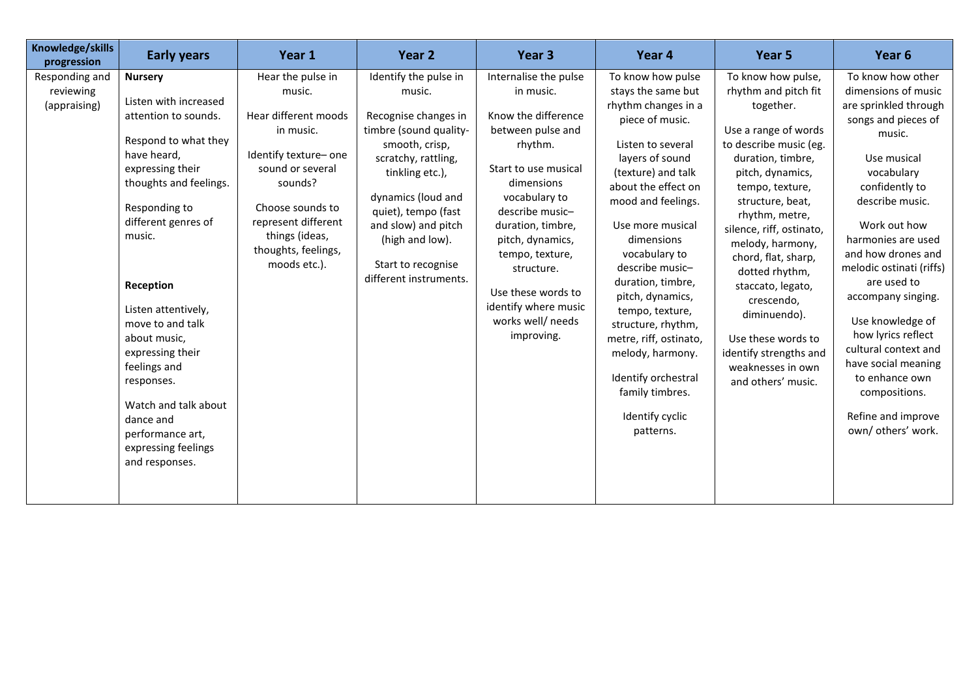| Knowledge/skills<br>progression             | <b>Early years</b>                                                                                                                                                                                                                                                                                                                                                                                                                 | Year 1                                                                                                                                                                                                                       | Year 2                                                                                                                                                                                                                                                                               | Year <sub>3</sub>                                                                                                                                                                                                                                                                                                              | Year 4                                                                                                                                                                                                                                                                                                                                                                                                                                                                       | Year 5                                                                                                                                                                                                                                                                                                                                                                                                                                             | Year <sub>6</sub>                                                                                                                                                                                                                                                                                                                                                                                                                                                         |
|---------------------------------------------|------------------------------------------------------------------------------------------------------------------------------------------------------------------------------------------------------------------------------------------------------------------------------------------------------------------------------------------------------------------------------------------------------------------------------------|------------------------------------------------------------------------------------------------------------------------------------------------------------------------------------------------------------------------------|--------------------------------------------------------------------------------------------------------------------------------------------------------------------------------------------------------------------------------------------------------------------------------------|--------------------------------------------------------------------------------------------------------------------------------------------------------------------------------------------------------------------------------------------------------------------------------------------------------------------------------|------------------------------------------------------------------------------------------------------------------------------------------------------------------------------------------------------------------------------------------------------------------------------------------------------------------------------------------------------------------------------------------------------------------------------------------------------------------------------|----------------------------------------------------------------------------------------------------------------------------------------------------------------------------------------------------------------------------------------------------------------------------------------------------------------------------------------------------------------------------------------------------------------------------------------------------|---------------------------------------------------------------------------------------------------------------------------------------------------------------------------------------------------------------------------------------------------------------------------------------------------------------------------------------------------------------------------------------------------------------------------------------------------------------------------|
| Responding and<br>reviewing<br>(appraising) | <b>Nursery</b><br>Listen with increased<br>attention to sounds.<br>Respond to what they<br>have heard,<br>expressing their<br>thoughts and feelings.<br>Responding to<br>different genres of<br>music.<br>Reception<br>Listen attentively,<br>move to and talk<br>about music,<br>expressing their<br>feelings and<br>responses.<br>Watch and talk about<br>dance and<br>performance art,<br>expressing feelings<br>and responses. | Hear the pulse in<br>music.<br>Hear different moods<br>in music.<br>Identify texture- one<br>sound or several<br>sounds?<br>Choose sounds to<br>represent different<br>things (ideas,<br>thoughts, feelings,<br>moods etc.). | Identify the pulse in<br>music.<br>Recognise changes in<br>timbre (sound quality-<br>smooth, crisp,<br>scratchy, rattling,<br>tinkling etc.),<br>dynamics (loud and<br>quiet), tempo (fast<br>and slow) and pitch<br>(high and low).<br>Start to recognise<br>different instruments. | Internalise the pulse<br>in music.<br>Know the difference<br>between pulse and<br>rhythm.<br>Start to use musical<br>dimensions<br>vocabulary to<br>describe music-<br>duration, timbre,<br>pitch, dynamics,<br>tempo, texture,<br>structure.<br>Use these words to<br>identify where music<br>works well/ needs<br>improving. | To know how pulse<br>stays the same but<br>rhythm changes in a<br>piece of music.<br>Listen to several<br>layers of sound<br>(texture) and talk<br>about the effect on<br>mood and feelings.<br>Use more musical<br>dimensions<br>vocabulary to<br>describe music-<br>duration, timbre,<br>pitch, dynamics,<br>tempo, texture,<br>structure, rhythm,<br>metre, riff, ostinato,<br>melody, harmony.<br>Identify orchestral<br>family timbres.<br>Identify cyclic<br>patterns. | To know how pulse,<br>rhythm and pitch fit<br>together.<br>Use a range of words<br>to describe music (eg.<br>duration, timbre,<br>pitch, dynamics,<br>tempo, texture,<br>structure, beat,<br>rhythm, metre,<br>silence, riff, ostinato,<br>melody, harmony,<br>chord, flat, sharp,<br>dotted rhythm,<br>staccato, legato,<br>crescendo,<br>diminuendo).<br>Use these words to<br>identify strengths and<br>weaknesses in own<br>and others' music. | To know how other<br>dimensions of music<br>are sprinkled through<br>songs and pieces of<br>music.<br>Use musical<br>vocabulary<br>confidently to<br>describe music.<br>Work out how<br>harmonies are used<br>and how drones and<br>melodic ostinati (riffs)<br>are used to<br>accompany singing.<br>Use knowledge of<br>how lyrics reflect<br>cultural context and<br>have social meaning<br>to enhance own<br>compositions.<br>Refine and improve<br>own/ others' work. |